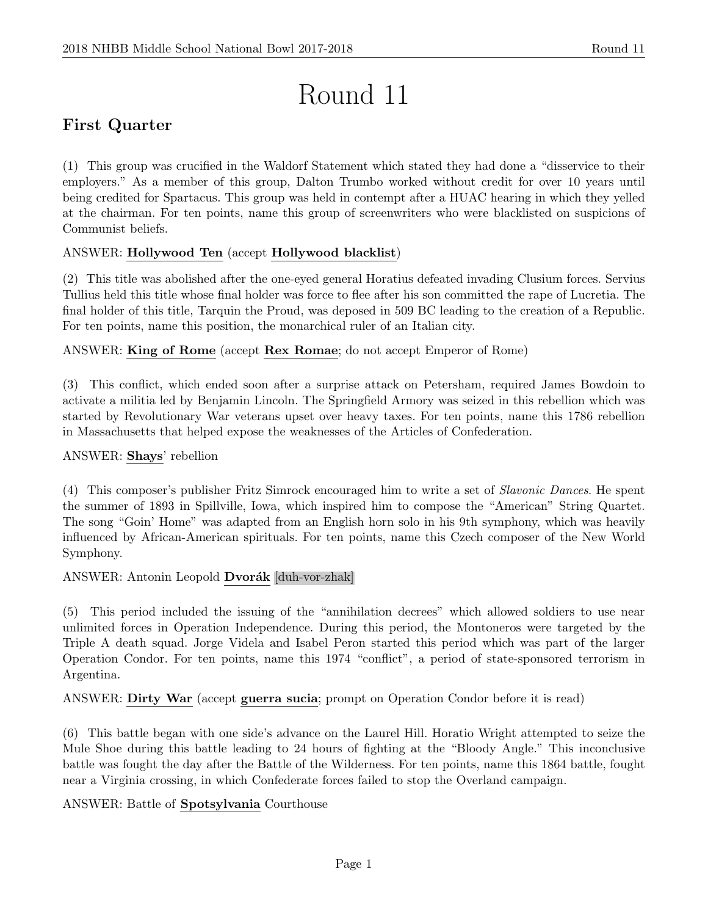# Round 11

# First Quarter

(1) This group was crucified in the Waldorf Statement which stated they had done a "disservice to their employers." As a member of this group, Dalton Trumbo worked without credit for over 10 years until being credited for Spartacus. This group was held in contempt after a HUAC hearing in which they yelled at the chairman. For ten points, name this group of screenwriters who were blacklisted on suspicions of Communist beliefs.

# ANSWER: Hollywood Ten (accept Hollywood blacklist)

(2) This title was abolished after the one-eyed general Horatius defeated invading Clusium forces. Servius Tullius held this title whose final holder was force to flee after his son committed the rape of Lucretia. The final holder of this title, Tarquin the Proud, was deposed in 509 BC leading to the creation of a Republic. For ten points, name this position, the monarchical ruler of an Italian city.

# ANSWER: King of Rome (accept Rex Romae; do not accept Emperor of Rome)

(3) This conflict, which ended soon after a surprise attack on Petersham, required James Bowdoin to activate a militia led by Benjamin Lincoln. The Springfield Armory was seized in this rebellion which was started by Revolutionary War veterans upset over heavy taxes. For ten points, name this 1786 rebellion in Massachusetts that helped expose the weaknesses of the Articles of Confederation.

# ANSWER: Shays' rebellion

(4) This composer's publisher Fritz Simrock encouraged him to write a set of Slavonic Dances. He spent the summer of 1893 in Spillville, Iowa, which inspired him to compose the "American" String Quartet. The song "Goin' Home" was adapted from an English horn solo in his 9th symphony, which was heavily influenced by African-American spirituals. For ten points, name this Czech composer of the New World Symphony.

# ANSWER: Antonin Leopold Dvorák [duh-vor-zhak]

(5) This period included the issuing of the "annihilation decrees" which allowed soldiers to use near unlimited forces in Operation Independence. During this period, the Montoneros were targeted by the Triple A death squad. Jorge Videla and Isabel Peron started this period which was part of the larger Operation Condor. For ten points, name this 1974 "conflict", a period of state-sponsored terrorism in Argentina.

ANSWER: Dirty War (accept guerra sucia; prompt on Operation Condor before it is read)

(6) This battle began with one side's advance on the Laurel Hill. Horatio Wright attempted to seize the Mule Shoe during this battle leading to 24 hours of fighting at the "Bloody Angle." This inconclusive battle was fought the day after the Battle of the Wilderness. For ten points, name this 1864 battle, fought near a Virginia crossing, in which Confederate forces failed to stop the Overland campaign.

# ANSWER: Battle of Spotsylvania Courthouse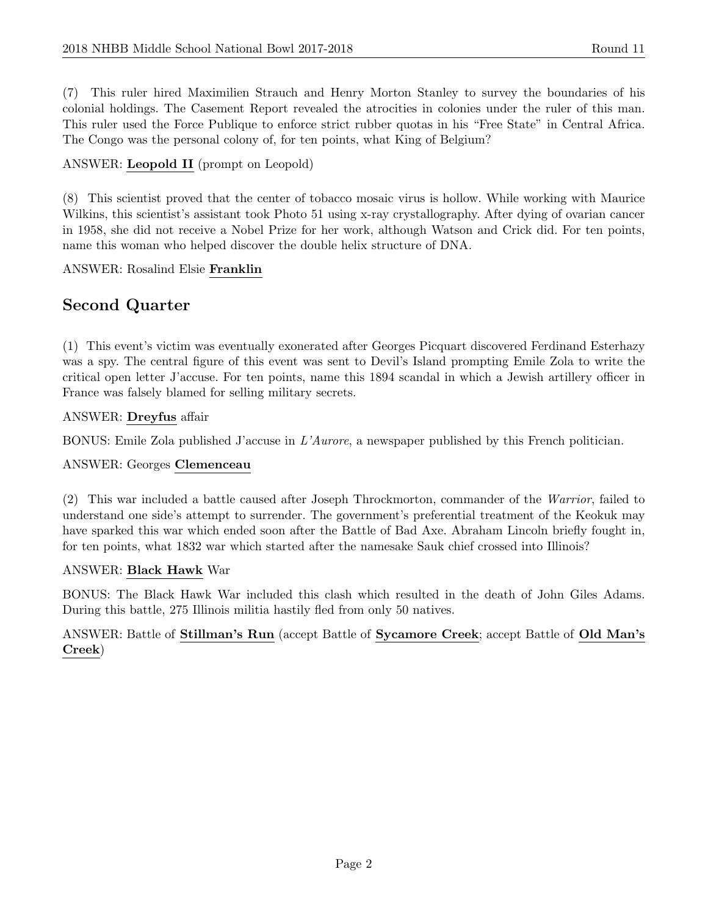(7) This ruler hired Maximilien Strauch and Henry Morton Stanley to survey the boundaries of his colonial holdings. The Casement Report revealed the atrocities in colonies under the ruler of this man. This ruler used the Force Publique to enforce strict rubber quotas in his "Free State" in Central Africa. The Congo was the personal colony of, for ten points, what King of Belgium?

# ANSWER: Leopold II (prompt on Leopold)

(8) This scientist proved that the center of tobacco mosaic virus is hollow. While working with Maurice Wilkins, this scientist's assistant took Photo 51 using x-ray crystallography. After dying of ovarian cancer in 1958, she did not receive a Nobel Prize for her work, although Watson and Crick did. For ten points, name this woman who helped discover the double helix structure of DNA.

ANSWER: Rosalind Elsie Franklin

# Second Quarter

(1) This event's victim was eventually exonerated after Georges Picquart discovered Ferdinand Esterhazy was a spy. The central figure of this event was sent to Devil's Island prompting Emile Zola to write the critical open letter J'accuse. For ten points, name this 1894 scandal in which a Jewish artillery officer in France was falsely blamed for selling military secrets.

# ANSWER: Dreyfus affair

BONUS: Emile Zola published J'accuse in L'Aurore, a newspaper published by this French politician.

#### ANSWER: Georges Clemenceau

(2) This war included a battle caused after Joseph Throckmorton, commander of the Warrior, failed to understand one side's attempt to surrender. The government's preferential treatment of the Keokuk may have sparked this war which ended soon after the Battle of Bad Axe. Abraham Lincoln briefly fought in, for ten points, what 1832 war which started after the namesake Sauk chief crossed into Illinois?

#### ANSWER: Black Hawk War

BONUS: The Black Hawk War included this clash which resulted in the death of John Giles Adams. During this battle, 275 Illinois militia hastily fled from only 50 natives.

# ANSWER: Battle of Stillman's Run (accept Battle of Sycamore Creek; accept Battle of Old Man's Creek)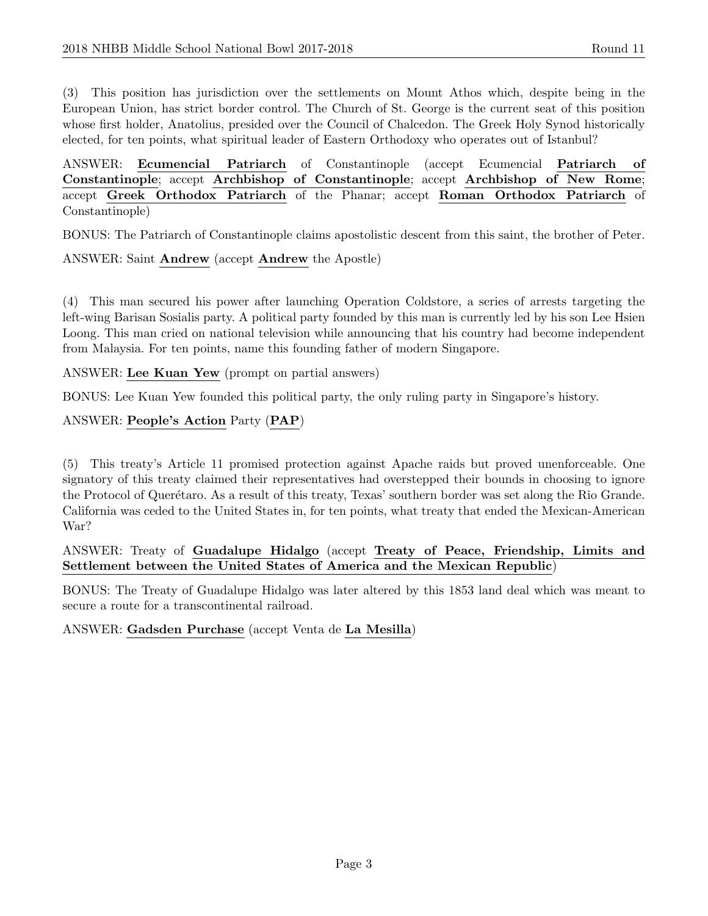(3) This position has jurisdiction over the settlements on Mount Athos which, despite being in the European Union, has strict border control. The Church of St. George is the current seat of this position whose first holder, Anatolius, presided over the Council of Chalcedon. The Greek Holy Synod historically elected, for ten points, what spiritual leader of Eastern Orthodoxy who operates out of Istanbul?

ANSWER: Ecumencial Patriarch of Constantinople (accept Ecumencial Patriarch of Constantinople; accept Archbishop of Constantinople; accept Archbishop of New Rome; accept Greek Orthodox Patriarch of the Phanar; accept Roman Orthodox Patriarch of Constantinople)

BONUS: The Patriarch of Constantinople claims apostolistic descent from this saint, the brother of Peter.

ANSWER: Saint Andrew (accept Andrew the Apostle)

(4) This man secured his power after launching Operation Coldstore, a series of arrests targeting the left-wing Barisan Sosialis party. A political party founded by this man is currently led by his son Lee Hsien Loong. This man cried on national television while announcing that his country had become independent from Malaysia. For ten points, name this founding father of modern Singapore.

ANSWER: Lee Kuan Yew (prompt on partial answers)

BONUS: Lee Kuan Yew founded this political party, the only ruling party in Singapore's history.

ANSWER: People's Action Party (PAP)

(5) This treaty's Article 11 promised protection against Apache raids but proved unenforceable. One signatory of this treaty claimed their representatives had overstepped their bounds in choosing to ignore the Protocol of Querétaro. As a result of this treaty, Texas' southern border was set along the Rio Grande. California was ceded to the United States in, for ten points, what treaty that ended the Mexican-American War?

ANSWER: Treaty of Guadalupe Hidalgo (accept Treaty of Peace, Friendship, Limits and Settlement between the United States of America and the Mexican Republic)

BONUS: The Treaty of Guadalupe Hidalgo was later altered by this 1853 land deal which was meant to secure a route for a transcontinental railroad.

ANSWER: Gadsden Purchase (accept Venta de La Mesilla)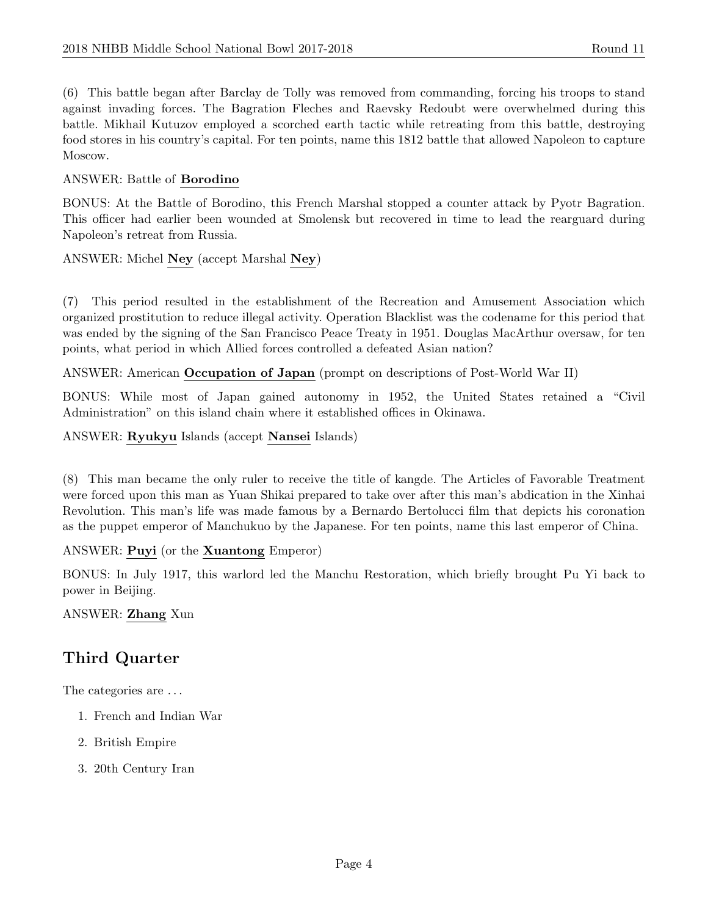(6) This battle began after Barclay de Tolly was removed from commanding, forcing his troops to stand against invading forces. The Bagration Fleches and Raevsky Redoubt were overwhelmed during this battle. Mikhail Kutuzov employed a scorched earth tactic while retreating from this battle, destroying food stores in his country's capital. For ten points, name this 1812 battle that allowed Napoleon to capture Moscow.

# ANSWER: Battle of Borodino

BONUS: At the Battle of Borodino, this French Marshal stopped a counter attack by Pyotr Bagration. This officer had earlier been wounded at Smolensk but recovered in time to lead the rearguard during Napoleon's retreat from Russia.

ANSWER: Michel Ney (accept Marshal Ney)

(7) This period resulted in the establishment of the Recreation and Amusement Association which organized prostitution to reduce illegal activity. Operation Blacklist was the codename for this period that was ended by the signing of the San Francisco Peace Treaty in 1951. Douglas MacArthur oversaw, for ten points, what period in which Allied forces controlled a defeated Asian nation?

ANSWER: American Occupation of Japan (prompt on descriptions of Post-World War II)

BONUS: While most of Japan gained autonomy in 1952, the United States retained a "Civil Administration" on this island chain where it established offices in Okinawa.

ANSWER: Ryukyu Islands (accept Nansei Islands)

(8) This man became the only ruler to receive the title of kangde. The Articles of Favorable Treatment were forced upon this man as Yuan Shikai prepared to take over after this man's abdication in the Xinhai Revolution. This man's life was made famous by a Bernardo Bertolucci film that depicts his coronation as the puppet emperor of Manchukuo by the Japanese. For ten points, name this last emperor of China.

ANSWER: Puyi (or the Xuantong Emperor)

BONUS: In July 1917, this warlord led the Manchu Restoration, which briefly brought Pu Yi back to power in Beijing.

ANSWER: Zhang Xun

# Third Quarter

The categories are  $\dots$ 

- 1. French and Indian War
- 2. British Empire
- 3. 20th Century Iran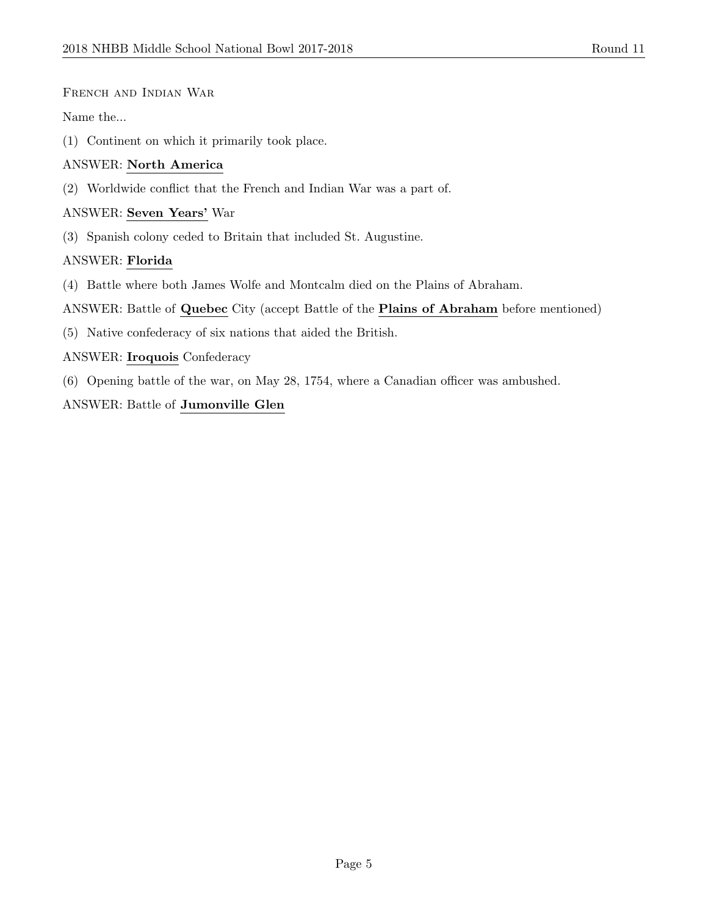#### French and Indian War

Name the...

(1) Continent on which it primarily took place.

#### ANSWER: North America

(2) Worldwide conflict that the French and Indian War was a part of.

#### ANSWER: Seven Years' War

(3) Spanish colony ceded to Britain that included St. Augustine.

# ANSWER: Florida

- (4) Battle where both James Wolfe and Montcalm died on the Plains of Abraham.
- ANSWER: Battle of Quebec City (accept Battle of the Plains of Abraham before mentioned)
- (5) Native confederacy of six nations that aided the British.

# ANSWER: Iroquois Confederacy

(6) Opening battle of the war, on May 28, 1754, where a Canadian officer was ambushed.

# ANSWER: Battle of Jumonville Glen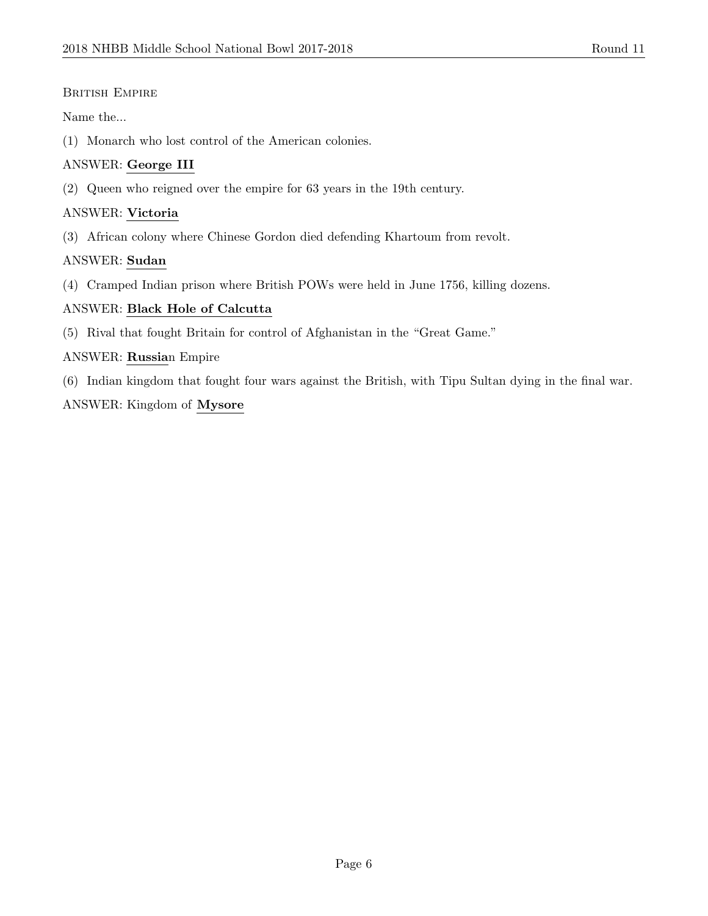#### BRITISH EMPIRE

Name the...

(1) Monarch who lost control of the American colonies.

#### ANSWER: George III

(2) Queen who reigned over the empire for 63 years in the 19th century.

#### ANSWER: Victoria

(3) African colony where Chinese Gordon died defending Khartoum from revolt.

# ANSWER: Sudan

(4) Cramped Indian prison where British POWs were held in June 1756, killing dozens.

#### ANSWER: Black Hole of Calcutta

(5) Rival that fought Britain for control of Afghanistan in the "Great Game."

#### ANSWER: Russian Empire

(6) Indian kingdom that fought four wars against the British, with Tipu Sultan dying in the final war.

#### ANSWER: Kingdom of Mysore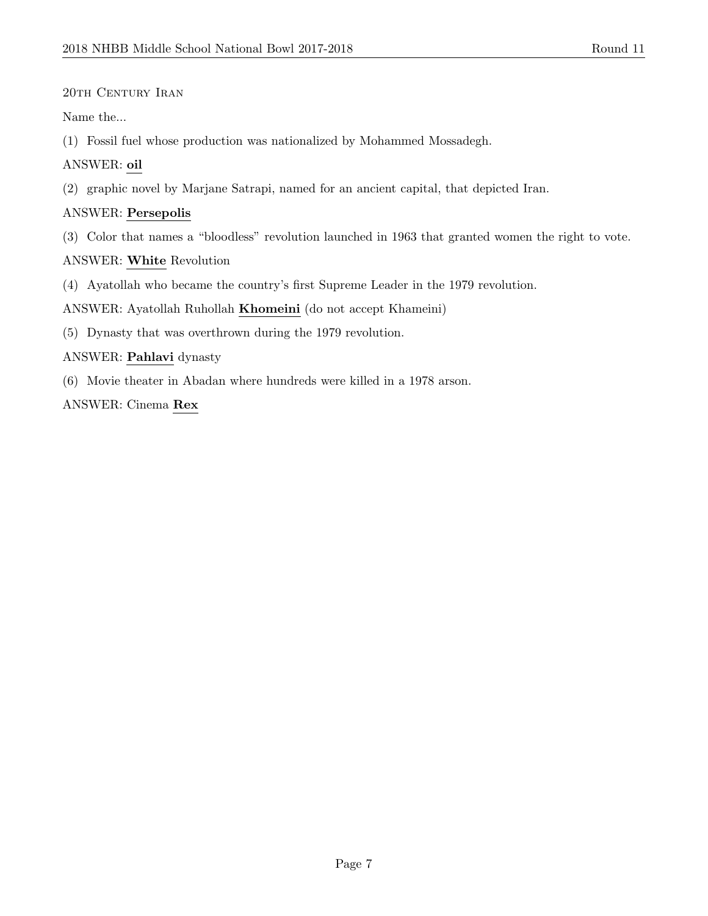# 20th Century Iran

Name the...

(1) Fossil fuel whose production was nationalized by Mohammed Mossadegh.

# ANSWER: oil

(2) graphic novel by Marjane Satrapi, named for an ancient capital, that depicted Iran.

# ANSWER: Persepolis

(3) Color that names a "bloodless" revolution launched in 1963 that granted women the right to vote.

ANSWER: White Revolution

(4) Ayatollah who became the country's first Supreme Leader in the 1979 revolution.

ANSWER: Ayatollah Ruhollah Khomeini (do not accept Khameini)

(5) Dynasty that was overthrown during the 1979 revolution.

# ANSWER: Pahlavi dynasty

(6) Movie theater in Abadan where hundreds were killed in a 1978 arson.

ANSWER: Cinema Rex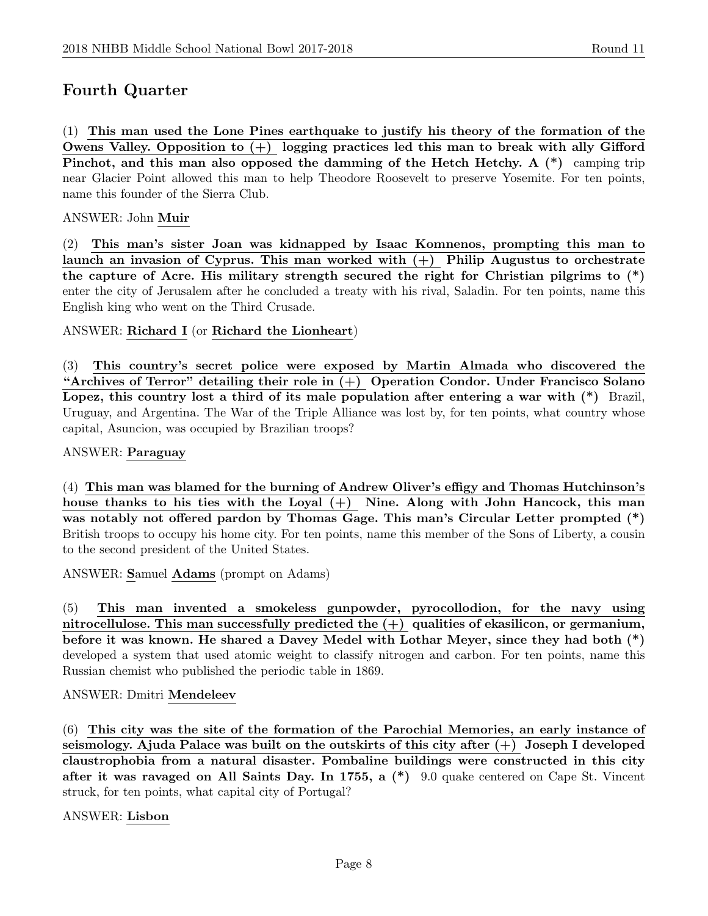# Fourth Quarter

(1) This man used the Lone Pines earthquake to justify his theory of the formation of the Owens Valley. Opposition to  $(+)$  logging practices led this man to break with ally Gifford Pinchot, and this man also opposed the damming of the Hetch Hetchy. A  $(*)$  camping trip near Glacier Point allowed this man to help Theodore Roosevelt to preserve Yosemite. For ten points, name this founder of the Sierra Club.

#### ANSWER: John Muir

(2) This man's sister Joan was kidnapped by Isaac Komnenos, prompting this man to launch an invasion of Cyprus. This man worked with  $(+)$  Philip Augustus to orchestrate the capture of Acre. His military strength secured the right for Christian pilgrims to (\*) enter the city of Jerusalem after he concluded a treaty with his rival, Saladin. For ten points, name this English king who went on the Third Crusade.

#### ANSWER: Richard I (or Richard the Lionheart)

(3) This country's secret police were exposed by Martin Almada who discovered the "Archives of Terror" detailing their role in  $(+)$  Operation Condor. Under Francisco Solano Lopez, this country lost a third of its male population after entering a war with  $(*)$  Brazil, Uruguay, and Argentina. The War of the Triple Alliance was lost by, for ten points, what country whose capital, Asuncion, was occupied by Brazilian troops?

#### ANSWER: Paraguay

(4) This man was blamed for the burning of Andrew Oliver's effigy and Thomas Hutchinson's house thanks to his ties with the Loyal  $(+)$  Nine. Along with John Hancock, this man was notably not offered pardon by Thomas Gage. This man's Circular Letter prompted (\*) British troops to occupy his home city. For ten points, name this member of the Sons of Liberty, a cousin to the second president of the United States.

ANSWER: Samuel Adams (prompt on Adams)

(5) This man invented a smokeless gunpowder, pyrocollodion, for the navy using nitrocellulose. This man successfully predicted the  $(+)$  qualities of ekasilicon, or germanium, before it was known. He shared a Davey Medel with Lothar Meyer, since they had both (\*) developed a system that used atomic weight to classify nitrogen and carbon. For ten points, name this Russian chemist who published the periodic table in 1869.

#### ANSWER: Dmitri Mendeleev

(6) This city was the site of the formation of the Parochial Memories, an early instance of seismology. Ajuda Palace was built on the outskirts of this city after  $(+)$  Joseph I developed claustrophobia from a natural disaster. Pombaline buildings were constructed in this city after it was ravaged on All Saints Day. In 1755, a (\*) 9.0 quake centered on Cape St. Vincent struck, for ten points, what capital city of Portugal?

ANSWER: Lisbon